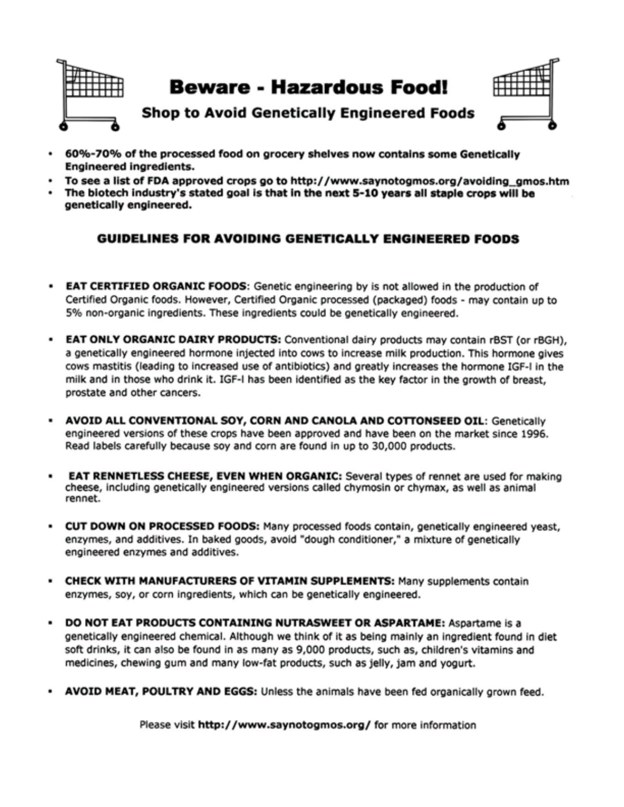

- 60%-70% of the processed food on grocery shelves now contains some Genetically **Engineered ingredients.**
- To see a list of FDA approved crops go to http://www.saynotogmos.org/avoiding gmos.htm
- The biotech industry's stated goal is that in the next 5-10 years all staple crops will be genetically engineered.

#### **GUIDELINES FOR AVOIDING GENETICALLY ENGINEERED FOODS**

- EAT CERTIFIED ORGANIC FOODS: Genetic engineering by is not allowed in the production of . Certified Organic foods. However, Certified Organic processed (packaged) foods - may contain up to 5% non-organic ingredients. These ingredients could be genetically engineered.
- EAT ONLY ORGANIC DAIRY PRODUCTS: Conventional dairy products may contain rBST (or rBGH), ٠ a genetically engineered hormone injected into cows to increase milk production. This hormone gives cows mastitis (leading to increased use of antibiotics) and greatly increases the hormone IGF-I in the milk and in those who drink it. IGF-I has been identified as the key factor in the growth of breast, prostate and other cancers.
- AVOID ALL CONVENTIONAL SOY, CORN AND CANOLA AND COTTONSEED OIL: Genetically engineered versions of these crops have been approved and have been on the market since 1996. Read labels carefully because soy and corn are found in up to 30,000 products.
- EAT RENNETLESS CHEESE, EVEN WHEN ORGANIC: Several types of rennet are used for making cheese, including genetically engineered versions called chymosin or chymax, as well as animal rennet.
- CUT DOWN ON PROCESSED FOODS: Many processed foods contain, genetically engineered yeast, enzymes, and additives. In baked goods, avoid "dough conditioner," a mixture of genetically engineered enzymes and additives.
- CHECK WITH MANUFACTURERS OF VITAMIN SUPPLEMENTS: Many supplements contain enzymes, soy, or corn ingredients, which can be genetically engineered.
- DO NOT EAT PRODUCTS CONTAINING NUTRASWEET OR ASPARTAME: Aspartame is a ٠ genetically engineered chemical. Although we think of it as being mainly an ingredient found in diet soft drinks, it can also be found in as many as 9,000 products, such as, children's vitamins and medicines, chewing gum and many low-fat products, such as jelly, jam and yogurt.
- AVOID MEAT, POULTRY AND EGGS: Unless the animals have been fed organically grown feed.

Please visit http://www.saynotogmos.org/ for more information